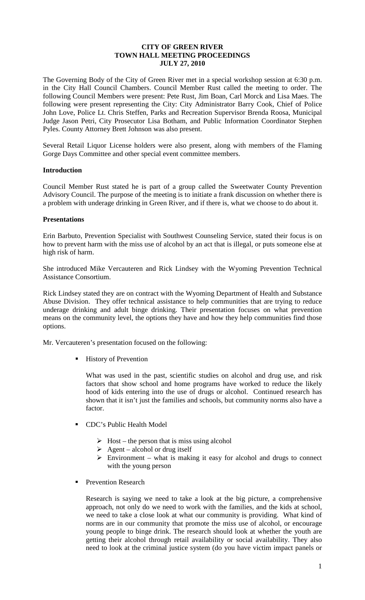## **CITY OF GREEN RIVER TOWN HALL MEETING PROCEEDINGS JULY 27, 2010**

The Governing Body of the City of Green River met in a special workshop session at 6:30 p.m. in the City Hall Council Chambers. Council Member Rust called the meeting to order. The following Council Members were present: Pete Rust, Jim Boan, Carl Morck and Lisa Maes. The following were present representing the City: City Administrator Barry Cook, Chief of Police John Love, Police Lt. Chris Steffen, Parks and Recreation Supervisor Brenda Roosa, Municipal Judge Jason Petri, City Prosecutor Lisa Botham, and Public Information Coordinator Stephen Pyles. County Attorney Brett Johnson was also present.

Several Retail Liquor License holders were also present, along with members of the Flaming Gorge Days Committee and other special event committee members.

## **Introduction**

Council Member Rust stated he is part of a group called the Sweetwater County Prevention Advisory Council. The purpose of the meeting is to initiate a frank discussion on whether there is a problem with underage drinking in Green River, and if there is, what we choose to do about it.

#### **Presentations**

Erin Barbuto, Prevention Specialist with Southwest Counseling Service, stated their focus is on how to prevent harm with the miss use of alcohol by an act that is illegal, or puts someone else at high risk of harm.

She introduced Mike Vercauteren and Rick Lindsey with the Wyoming Prevention Technical Assistance Consortium.

Rick Lindsey stated they are on contract with the Wyoming Department of Health and Substance Abuse Division. They offer technical assistance to help communities that are trying to reduce underage drinking and adult binge drinking. Their presentation focuses on what prevention means on the community level, the options they have and how they help communities find those options.

Mr. Vercauteren's presentation focused on the following:

History of Prevention

What was used in the past, scientific studies on alcohol and drug use, and risk factors that show school and home programs have worked to reduce the likely hood of kids entering into the use of drugs or alcohol. Continued research has shown that it isn't just the families and schools, but community norms also have a factor.

- CDC's Public Health Model
	- $\triangleright$  Host the person that is miss using alcohol
	- $\triangleright$  Agent alcohol or drug itself
	- $\triangleright$  Environment what is making it easy for alcohol and drugs to connect with the young person
- Prevention Research

Research is saying we need to take a look at the big picture, a comprehensive approach, not only do we need to work with the families, and the kids at school, we need to take a close look at what our community is providing. What kind of norms are in our community that promote the miss use of alcohol, or encourage young people to binge drink. The research should look at whether the youth are getting their alcohol through retail availability or social availability. They also need to look at the criminal justice system (do you have victim impact panels or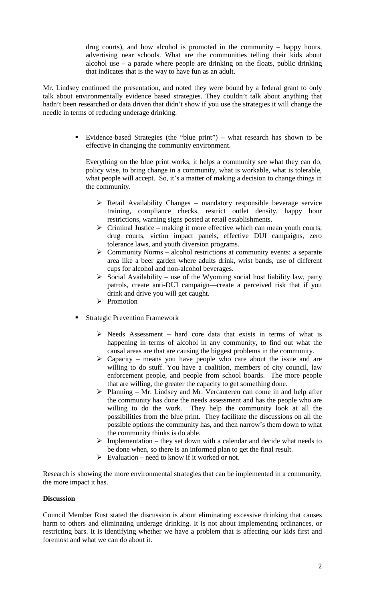drug courts), and how alcohol is promoted in the community – happy hours, advertising near schools. What are the communities telling their kids about alcohol use  $-$  a parade where people are drinking on the floats, public drinking that indicates that is the way to have fun as an adult.

Mr. Lindsey continued the presentation, and noted they were bound by a federal grant to only talk about environmentally evidence based strategies. They couldn't talk about anything that hadn't been researched or data driven that didn't show if you use the strategies it will change the needle in terms of reducing underage drinking.

> Evidence-based Strategies (the "blue print") – what research has shown to be effective in changing the community environment.

Everything on the blue print works, it helps a community see what they can do, policy wise, to bring change in a community, what is workable, what is tolerable, what people will accept. So, it's a matter of making a decision to change things in the community.

- $\triangleright$  Retail Availability Changes mandatory responsible beverage service training, compliance checks, restrict outlet density, happy hour restrictions, warning signs posted at retail establishments.
- $\triangleright$  Criminal Justice making it more effective which can mean youth courts, drug courts, victim impact panels, effective DUI campaigns, zero tolerance laws, and youth diversion programs.
- $\triangleright$  Community Norms alcohol restrictions at community events: a separate area like a beer garden where adults drink, wrist bands, use of different cups for alcohol and non-alcohol beverages.
- $\triangleright$  Social Availability use of the Wyoming social host liability law, party patrols, create anti-DUI campaign—create a perceived risk that if you drink and drive you will get caught.
- > Promotion
- Strategic Prevention Framework
	- $\triangleright$  Needs Assessment hard core data that exists in terms of what is happening in terms of alcohol in any community, to find out what the causal areas are that are causing the biggest problems in the community.
	- $\triangleright$  Capacity means you have people who care about the issue and are willing to do stuff. You have a coalition, members of city council, law enforcement people, and people from school boards. The more people that are willing, the greater the capacity to get something done.
	- $\triangleright$  Planning Mr. Lindsey and Mr. Vercauteren can come in and help after the community has done the needs assessment and has the people who are willing to do the work. They help the community look at all the possibilities from the blue print. They facilitate the discussions on all the possible options the community has, and then narrow's them down to what the community thinks is do able.
	- $\triangleright$  Implementation they set down with a calendar and decide what needs to be done when, so there is an informed plan to get the final result.
	- $\triangleright$  Evaluation need to know if it worked or not.

Research is showing the more environmental strategies that can be implemented in a community, the more impact it has.

# **Discussion**

Council Member Rust stated the discussion is about eliminating excessive drinking that causes harm to others and eliminating underage drinking. It is not about implementing ordinances, or restricting bars. It is identifying whether we have a problem that is affecting our kids first and foremost and what we can do about it.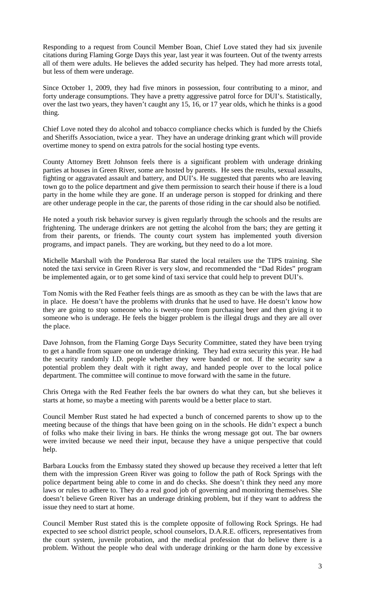Responding to a request from Council Member Boan, Chief Love stated they had six juvenile citations during Flaming Gorge Days this year, last year it was fourteen. Out of the twenty arrests all of them were adults. He believes the added security has helped. They had more arrests total, but less of them were underage.

Since October 1, 2009, they had five minors in possession, four contributing to a minor, and forty underage consumptions. They have a pretty aggressive patrol force for DUI's. Statistically, over the last two years, they haven't caught any 15, 16, or 17 year olds, which he thinks is a good thing.

Chief Love noted they do alcohol and tobacco compliance checks which is funded by the Chiefs and Sheriffs Association, twice a year. They have an underage drinking grant which will provide overtime money to spend on extra patrols for the social hosting type events.

County Attorney Brett Johnson feels there is a significant problem with underage drinking parties at houses in Green River, some are hosted by parents. He sees the results, sexual assaults, fighting or aggravated assault and battery, and DUI's. He suggested that parents who are leaving town go to the police department and give them permission to search their house if there is a loud party in the home while they are gone. If an underage person is stopped for drinking and there are other underage people in the car, the parents of those riding in the car should also be notified.

He noted a youth risk behavior survey is given regularly through the schools and the results are frightening. The underage drinkers are not getting the alcohol from the bars; they are getting it from their parents, or friends. The county court system has implemented youth diversion programs, and impact panels. They are working, but they need to do a lot more.

Michelle Marshall with the Ponderosa Bar stated the local retailers use the TIPS training. She noted the taxi service in Green River is very slow, and recommended the "Dad Rides" program be implemented again, or to get some kind of taxi service that could help to prevent DUI's.

Tom Nomis with the Red Feather feels things are as smooth as they can be with the laws that are in place. He doesn't have the problems with drunks that he used to have. He doesn't know how they are going to stop someone who is twenty-one from purchasing beer and then giving it to someone who is underage. He feels the bigger problem is the illegal drugs and they are all over the place.

Dave Johnson, from the Flaming Gorge Days Security Committee, stated they have been trying to get a handle from square one on underage drinking. They had extra security this year. He had the security randomly I.D. people whether they were banded or not. If the security saw a potential problem they dealt with it right away, and handed people over to the local police department. The committee will continue to move forward with the same in the future.

Chris Ortega with the Red Feather feels the bar owners do what they can, but she believes it starts at home, so maybe a meeting with parents would be a better place to start.

Council Member Rust stated he had expected a bunch of concerned parents to show up to the meeting because of the things that have been going on in the schools. He didn't expect a bunch of folks who make their living in bars. He thinks the wrong message got out. The bar owners were invited because we need their input, because they have a unique perspective that could help.

Barbara Loucks from the Embassy stated they showed up because they received a letter that left them with the impression Green River was going to follow the path of Rock Springs with the police department being able to come in and do checks. She doesn't think they need any more laws or rules to adhere to. They do a real good job of governing and monitoring themselves. She doesn't believe Green River has an underage drinking problem, but if they want to address the issue they need to start at home.

Council Member Rust stated this is the complete opposite of following Rock Springs. He had expected to see school district people, school counselors, D.A.R.E. officers, representatives from the court system, juvenile probation, and the medical profession that do believe there is a problem. Without the people who deal with underage drinking or the harm done by excessive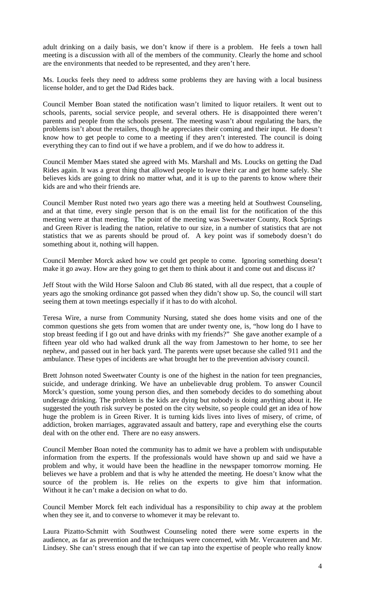adult drinking on a daily basis, we don't know if there is a problem. He feels a town hall meeting is a discussion with all of the members of the community. Clearly the home and school are the environments that needed to be represented, and they aren't here.

Ms. Loucks feels they need to address some problems they are having with a local business license holder, and to get the Dad Rides back.

Council Member Boan stated the notification wasn't limited to liquor retailers. It went out to schools, parents, social service people, and several others. He is disappointed there weren't parents and people from the schools present. The meeting wasn't about regulating the bars, the problems isn't about the retailers, though he appreciates their coming and their input. He doesn't know how to get people to come to a meeting if they aren't interested. The council is doing everything they can to find out if we have a problem, and if we do how to address it.

Council Member Maes stated she agreed with Ms. Marshall and Ms. Loucks on getting the Dad Rides again. It was a great thing that allowed people to leave their car and get home safely. She believes kids are going to drink no matter what, and it is up to the parents to know where their kids are and who their friends are.

Council Member Rust noted two years ago there was a meeting held at Southwest Counseling, and at that time, every single person that is on the email list for the notification of the this meeting were at that meeting. The point of the meeting was Sweetwater County, Rock Springs and Green River is leading the nation, relative to our size, in a number of statistics that are not statistics that we as parents should be proud of. A key point was if somebody doesn't do something about it, nothing will happen.

Council Member Morck asked how we could get people to come. Ignoring something doesn't make it go away. How are they going to get them to think about it and come out and discuss it?

Jeff Stout with the Wild Horse Saloon and Club 86 stated, with all due respect, that a couple of years ago the smoking ordinance got passed when they didn't show up. So, the council will start seeing them at town meetings especially if it has to do with alcohol.

Teresa Wire, a nurse from Community Nursing, stated she does home visits and one of the common questions she gets from women that are under twenty one, is, "how long do I have to stop breast feeding if I go out and have drinks with my friends?" She gave another example of a fifteen year old who had walked drunk all the way from Jamestown to her home, to see her nephew, and passed out in her back yard. The parents were upset because she called 911 and the ambulance. These types of incidents are what brought her to the prevention advisory council.

Brett Johnson noted Sweetwater County is one of the highest in the nation for teen pregnancies, suicide, and underage drinking. We have an unbelievable drug problem. To answer Council Morck's question, some young person dies, and then somebody decides to do something about underage drinking. The problem is the kids are dying but nobody is doing anything about it. He suggested the youth risk survey be posted on the city website, so people could get an idea of how huge the problem is in Green River. It is turning kids lives into lives of misery, of crime, of addiction, broken marriages, aggravated assault and battery, rape and everything else the courts deal with on the other end. There are no easy answers.

Council Member Boan noted the community has to admit we have a problem with undisputable information from the experts. If the professionals would have shown up and said we have a problem and why, it would have been the headline in the newspaper tomorrow morning. He believes we have a problem and that is why he attended the meeting. He doesn't know what the source of the problem is. He relies on the experts to give him that information. Without it he can't make a decision on what to do.

Council Member Morck felt each individual has a responsibility to chip away at the problem when they see it, and to converse to whomever it may be relevant to.

Laura Pizatto-Schmitt with Southwest Counseling noted there were some experts in the audience, as far as prevention and the techniques were concerned, with Mr. Vercauteren and Mr. Lindsey. She can't stress enough that if we can tap into the expertise of people who really know